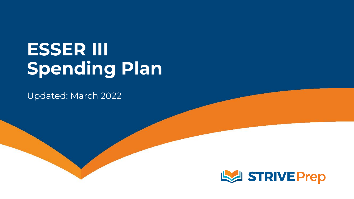# **ESSER III Spending Plan**

Updated: March 2022

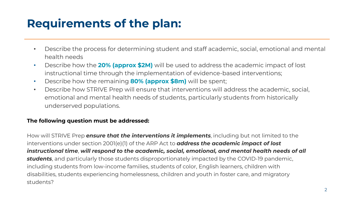## **Requirements of the plan:**

- Describe the process for determining student and staff academic, social, emotional and mental health needs
- Describe how the **20% (approx \$2M)** will be used to address the academic impact of lost instructional time through the implementation of evidence-based interventions;
- Describe how the remaining **80% (approx \$8m)** will be spent;
- Describe how STRIVE Prep will ensure that interventions will address the academic, social, emotional and mental health needs of students, particularly students from historically underserved populations.

### **The following question must be addressed:**

How will STRIVE Prep *ensure that the interventions it implements*, including but not limited to the interventions under section 2001(e)(1) of the ARP Act to *address the academic impact of lost instructional time*, *will respond to the academic, social, emotional, and mental health needs of all students*, and particularly those students disproportionately impacted by the COVID-19 pandemic, including students from low-income families, students of color, English learners, children with disabilities, students experiencing homelessness, children and youth in foster care, and migratory students?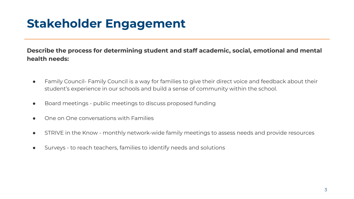# **Stakeholder Engagement**

**Describe the process for determining student and staff academic, social, emotional and mental health needs:**

- Family Council- Family Council is a way for families to give their direct voice and feedback about their student's experience in our schools and build a sense of community within the school.
- Board meetings public meetings to discuss proposed funding
- One on One conversations with Families
- STRIVE in the Know monthly network-wide family meetings to assess needs and provide resources
- Surveys to reach teachers, families to identify needs and solutions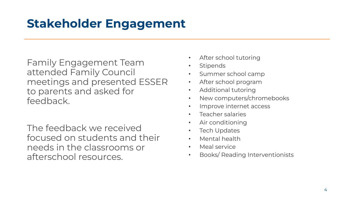# **Stakeholder Engagement**

Family Engagement Team attended Family Council meetings and presented ESSER to parents and asked for feedback.

The feedback we received focused on students and their needs in the classrooms or afterschool resources.

- After school tutoring
- **Stipends**
- Summer school camp
- After school program
- Additional tutoring
- New computers/chromebooks
- Improve internet access
- Teacher salaries
- Air conditioning
- **Tech Updates**
- Mental health
- Meal service
- Books/ Reading Interventionists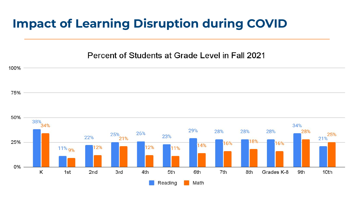### **Impact of Learning Disruption during COVID**

Percent of Students at Grade Level in Fall 2021

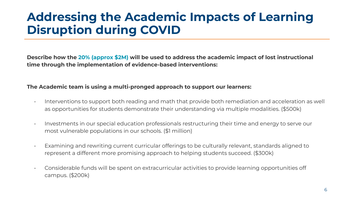## **Addressing the Academic Impacts of Learning Disruption during COVID**

**Describe how the 20% (approx \$2M) will be used to address the academic impact of lost instructional time through the implementation of evidence-based interventions:**

### **The Academic team is using a multi-pronged approach to support our learners:**

- Interventions to support both reading and math that provide both remediation and acceleration as well as opportunities for students demonstrate their understanding via multiple modalities. (\$500k)
- Investments in our special education professionals restructuring their time and energy to serve our most vulnerable populations in our schools. (\$1 million)
- Examining and rewriting current curricular offerings to be culturally relevant, standards aligned to represent a different more promising approach to helping students succeed. (\$300k)
- Considerable funds will be spent on extracurricular activities to provide learning opportunities off campus. (\$200k)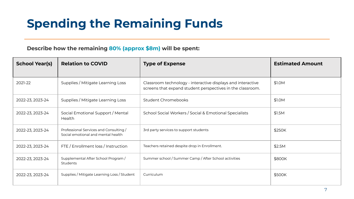# **Spending the Remaining Funds**

### **Describe how the remaining 80% (approx \$8m) will be spent:**

| <b>School Year(s)</b> | <b>Relation to COVID</b>                                                     | <b>Type of Expense</b>                                                                                                    | <b>Estimated Amount</b> |
|-----------------------|------------------------------------------------------------------------------|---------------------------------------------------------------------------------------------------------------------------|-------------------------|
| 2021-22               | Supplies / Mitigate Learning Loss                                            | Classroom technology - interactive displays and interactive<br>screens that expand student perspectives in the classroom. | \$1.0M                  |
| 2022-23, 2023-24      | Supplies / Mitigate Learning Loss                                            | Student Chromebooks                                                                                                       | \$1.0M                  |
| 2022-23, 2023-24      | Social Emotional Support / Mental<br>Health                                  | School Social Workers / Social & Emotional Specialists                                                                    | \$1.5M                  |
| 2022-23, 2023-24      | Professional Services and Consulting /<br>Social emotional and mental health | 3rd party services to support students                                                                                    | \$250K                  |
| 2022-23, 2023-24      | FTE / Enrollment loss / Instruction                                          | Teachers retained despite drop in Enrollment.                                                                             | \$2.5M                  |
| 2022-23, 2023-24      | Supplemental After School Program /<br>Students                              | Summer school / Summer Camp / After School activities                                                                     | \$800K                  |
| 2022-23, 2023-24      | Supplies / Mitigate Learning Loss / Student                                  | Curriculum                                                                                                                | \$500K                  |